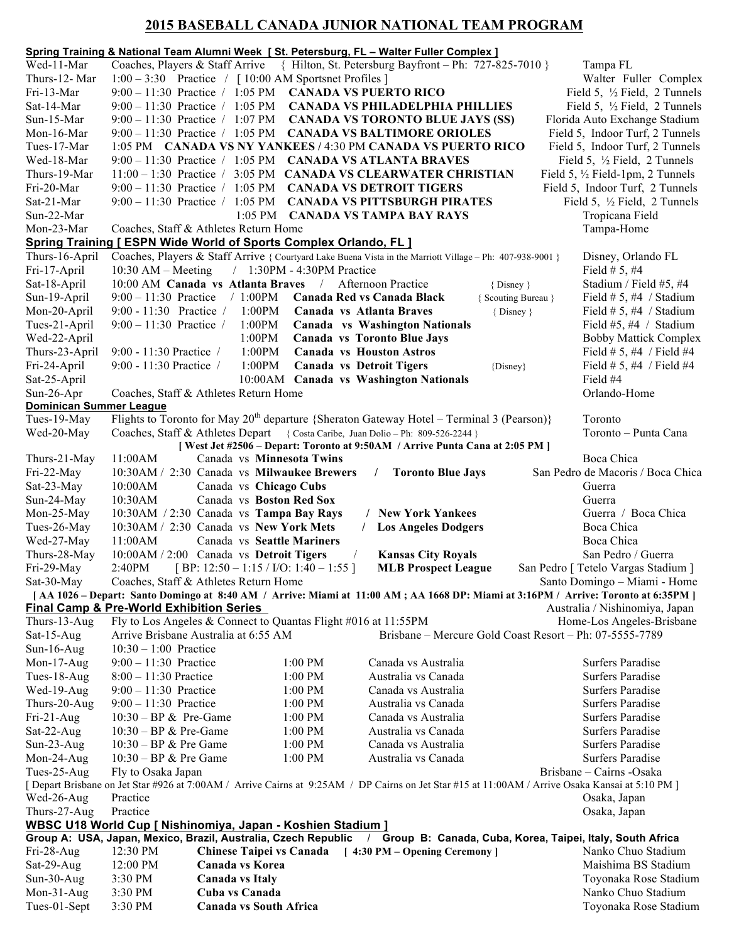## **2015 BASEBALL CANADA JUNIOR NATIONAL TEAM PROGRAM**

|                                                                                                                                                                                                              |                                                     |                                                                   |                            | Spring Training & National Team Alumni Week [St. Petersburg, FL - Walter Fuller Complex ]                                  |                     |                                                                                        |  |  |
|--------------------------------------------------------------------------------------------------------------------------------------------------------------------------------------------------------------|-----------------------------------------------------|-------------------------------------------------------------------|----------------------------|----------------------------------------------------------------------------------------------------------------------------|---------------------|----------------------------------------------------------------------------------------|--|--|
| Wed-11-Mar                                                                                                                                                                                                   |                                                     |                                                                   |                            | Coaches, Players & Staff Arrive { Hilton, St. Petersburg Bayfront - Ph: 727-825-7010 }                                     |                     | Tampa FL                                                                               |  |  |
| Thurs-12- Mar                                                                                                                                                                                                |                                                     | $1:00-3:30$ Practice / [10:00 AM Sportsnet Profiles ]             |                            |                                                                                                                            |                     | Walter Fuller Complex                                                                  |  |  |
| Fri-13-Mar                                                                                                                                                                                                   |                                                     |                                                                   |                            | $9:00-11:30$ Practice / 1:05 PM CANADA VS PUERTO RICO                                                                      |                     | Field 5, $\frac{1}{2}$ Field, 2 Tunnels                                                |  |  |
| Sat-14-Mar                                                                                                                                                                                                   |                                                     |                                                                   |                            | 9:00 - 11:30 Practice / 1:05 PM CANADA VS PHILADELPHIA PHILLIES                                                            |                     | Field 5, $\frac{1}{2}$ Field, 2 Tunnels                                                |  |  |
| Sun-15-Mar                                                                                                                                                                                                   |                                                     |                                                                   |                            | 9:00 - 11:30 Practice / 1:07 PM CANADA VS TORONTO BLUE JAYS (SS)                                                           |                     | Florida Auto Exchange Stadium                                                          |  |  |
| Mon-16-Mar                                                                                                                                                                                                   |                                                     |                                                                   |                            | 9:00 - 11:30 Practice / 1:05 PM CANADA VS BALTIMORE ORIOLES                                                                |                     | Field 5, Indoor Turf, 2 Tunnels                                                        |  |  |
| Tues-17-Mar                                                                                                                                                                                                  |                                                     |                                                                   |                            | 1:05 PM CANADA VS NY YANKEES / 4:30 PM CANADA VS PUERTO RICO<br>9:00 - 11:30 Practice / 1:05 PM CANADA VS ATLANTA BRAVES   |                     | Field 5, Indoor Turf, 2 Tunnels                                                        |  |  |
| Wed-18-Mar<br>Thurs-19-Mar                                                                                                                                                                                   |                                                     |                                                                   |                            | 11:00 - 1:30 Practice / 3:05 PM CANADA VS CLEARWATER CHRISTIAN                                                             |                     | Field 5, $\frac{1}{2}$ Field, 2 Tunnels<br>Field 5, $\frac{1}{2}$ Field-1pm, 2 Tunnels |  |  |
| Fri-20-Mar                                                                                                                                                                                                   |                                                     | $9:00 - 11:30$ Practice / 1:05 PM                                 |                            | <b>CANADA VS DETROIT TIGERS</b>                                                                                            |                     | Field 5, Indoor Turf, 2 Tunnels                                                        |  |  |
| Sat-21-Mar                                                                                                                                                                                                   |                                                     | $9:00 - 11:30$ Practice / 1:05 PM                                 |                            | <b>CANADA VS PITTSBURGH PIRATES</b>                                                                                        |                     | Field 5, $\frac{1}{2}$ Field, 2 Tunnels                                                |  |  |
| Sun-22-Mar                                                                                                                                                                                                   |                                                     | $1:05$ PM                                                         |                            | <b>CANADA VS TAMPA BAY RAYS</b>                                                                                            |                     | Tropicana Field                                                                        |  |  |
| Mon-23-Mar                                                                                                                                                                                                   |                                                     | Coaches, Staff & Athletes Return Home                             |                            |                                                                                                                            |                     | Tampa-Home                                                                             |  |  |
|                                                                                                                                                                                                              |                                                     | Spring Training [ ESPN Wide World of Sports Complex Orlando, FL ] |                            |                                                                                                                            |                     |                                                                                        |  |  |
| Thurs-16-April                                                                                                                                                                                               |                                                     |                                                                   |                            | Coaches, Players & Staff Arrive { Courtyard Lake Buena Vista in the Marriott Village - Ph: 407-938-9001 }                  |                     | Disney, Orlando FL                                                                     |  |  |
| Fri-17-April                                                                                                                                                                                                 | $10:30$ AM – Meeting                                |                                                                   | / 1:30PM - 4:30PM Practice |                                                                                                                            |                     | Field # 5, #4                                                                          |  |  |
| Sat-18-April                                                                                                                                                                                                 |                                                     | 10:00 AM Canada vs Atlanta Braves / Afternoon Practice            |                            |                                                                                                                            | { Disney }          | Stadium / Field #5, #4                                                                 |  |  |
| Sun-19-April                                                                                                                                                                                                 |                                                     | $9:00 - 11:30$ Practice / 1:00PM                                  |                            | Canada Red vs Canada Black                                                                                                 | { Scouting Bureau } | Field $# 5, #4 /$ Stadium                                                              |  |  |
| Mon-20-April                                                                                                                                                                                                 |                                                     | 9:00 - 11:30 Practice / 1:00PM                                    |                            | Canada vs Atlanta Braves                                                                                                   | { Disney }          | Field $# 5, #4 /$ Stadium                                                              |  |  |
| Tues-21-April                                                                                                                                                                                                | $9:00 - 11:30$ Practice /                           | 1:00PM                                                            |                            | <b>Canada vs Washington Nationals</b>                                                                                      |                     | Field #5, #4 / Stadium                                                                 |  |  |
| Wed-22-April                                                                                                                                                                                                 |                                                     | 1:00PM                                                            |                            | <b>Canada vs Toronto Blue Jays</b>                                                                                         |                     | <b>Bobby Mattick Complex</b>                                                           |  |  |
| Thurs-23-April                                                                                                                                                                                               | 9:00 - 11:30 Practice /                             | 1:00PM                                                            |                            | <b>Canada vs Houston Astros</b>                                                                                            |                     | Field # 5, #4 / Field #4                                                               |  |  |
| Fri-24-April                                                                                                                                                                                                 | 9:00 - 11:30 Practice /                             | 1:00PM                                                            |                            | <b>Canada vs Detroit Tigers</b>                                                                                            | {Disney}            | Field # 5, #4 / Field #4                                                               |  |  |
| Sat-25-April                                                                                                                                                                                                 |                                                     |                                                                   |                            | 10:00AM Canada vs Washington Nationals                                                                                     |                     | Field #4<br>Orlando-Home                                                               |  |  |
| Sun-26-Apr                                                                                                                                                                                                   |                                                     | Coaches, Staff & Athletes Return Home                             |                            |                                                                                                                            |                     |                                                                                        |  |  |
| <b>Dominican Summer League</b><br>Flights to Toronto for May $20^{th}$ departure {Sheraton Gateway Hotel – Terminal 3 (Pearson)}<br>Toronto<br>Tues-19-May                                                   |                                                     |                                                                   |                            |                                                                                                                            |                     |                                                                                        |  |  |
| Wed-20-May                                                                                                                                                                                                   |                                                     |                                                                   |                            | Coaches, Staff & Athletes Depart { Costa Caribe, Juan Dolio - Ph: 809-526-2244 }                                           |                     | Toronto - Punta Cana                                                                   |  |  |
|                                                                                                                                                                                                              |                                                     |                                                                   |                            | [West Jet #2506 - Depart: Toronto at 9:50AM / Arrive Punta Cana at 2:05 PM ]                                               |                     |                                                                                        |  |  |
| Thurs-21-May                                                                                                                                                                                                 | 11:00AM                                             | Canada vs Minnesota Twins                                         |                            |                                                                                                                            |                     | Boca Chica                                                                             |  |  |
| Fri-22-May                                                                                                                                                                                                   |                                                     | 10:30AM / 2:30 Canada vs Milwaukee Brewers                        |                            | <b>Toronto Blue Jays</b><br>$\sqrt{2}$                                                                                     |                     | San Pedro de Macoris / Boca Chica                                                      |  |  |
| Sat-23-May                                                                                                                                                                                                   | 10:00AM                                             | Canada vs Chicago Cubs                                            |                            |                                                                                                                            |                     | Guerra                                                                                 |  |  |
| Sun-24-May                                                                                                                                                                                                   | 10:30AM                                             | Canada vs Boston Red Sox                                          |                            |                                                                                                                            |                     | Guerra                                                                                 |  |  |
| Mon-25-May                                                                                                                                                                                                   |                                                     | 10:30AM / 2:30 Canada vs Tampa Bay Rays                           |                            | <b>New York Yankees</b>                                                                                                    |                     | Guerra / Boca Chica                                                                    |  |  |
| Tues-26-May                                                                                                                                                                                                  |                                                     | 10:30AM / 2:30 Canada vs New York Mets                            |                            | <b>Los Angeles Dodgers</b>                                                                                                 |                     | Boca Chica                                                                             |  |  |
| Wed-27-May                                                                                                                                                                                                   | 11:00AM                                             | Canada vs Seattle Mariners                                        |                            |                                                                                                                            |                     | Boca Chica                                                                             |  |  |
| Thurs-28-May                                                                                                                                                                                                 |                                                     | 10:00AM / 2:00 Canada vs Detroit Tigers                           |                            | <b>Kansas City Royals</b>                                                                                                  |                     | San Pedro / Guerra                                                                     |  |  |
| Fri-29-May<br>Sat-30-May                                                                                                                                                                                     | 2:40PM                                              | [BP: $12:50 - 1:15 / I/O$ : $1:40 - 1:55$ ]                       |                            | <b>MLB Prospect League</b>                                                                                                 |                     | San Pedro [ Tetelo Vargas Stadium ]                                                    |  |  |
| Coaches, Staff & Athletes Return Home<br>Santo Domingo - Miami - Home<br>[ AA 1026 – Depart: Santo Domingo at 8:40 AM / Arrive: Miami at 11:00 AM; AA 1668 DP: Miami at 3:16PM / Arrive: Toronto at 6:35PM ] |                                                     |                                                                   |                            |                                                                                                                            |                     |                                                                                        |  |  |
|                                                                                                                                                                                                              | <b>Final Camp &amp; Pre-World Exhibition Series</b> |                                                                   |                            |                                                                                                                            |                     | Australia / Nishinomiya, Japan                                                         |  |  |
| Thurs-13-Aug                                                                                                                                                                                                 |                                                     | Fly to Los Angeles & Connect to Quantas Flight #016 at 11:55PM    |                            |                                                                                                                            |                     | Home-Los Angeles-Brisbane                                                              |  |  |
| Sat-15-Aug                                                                                                                                                                                                   |                                                     | Arrive Brisbane Australia at 6:55 AM                              |                            | Brisbane – Mercure Gold Coast Resort – Ph: 07-5555-7789                                                                    |                     |                                                                                        |  |  |
| $Sun-16-Aug$                                                                                                                                                                                                 | $10:30 - 1:00$ Practice                             |                                                                   |                            |                                                                                                                            |                     |                                                                                        |  |  |
| Mon-17-Aug                                                                                                                                                                                                   | $9:00 - 11:30$ Practice                             |                                                                   | $1:00$ PM                  | Canada vs Australia                                                                                                        |                     | <b>Surfers Paradise</b>                                                                |  |  |
| Tues-18-Aug                                                                                                                                                                                                  | $8:00 - 11:30$ Practice                             |                                                                   | 1:00 PM                    | Australia vs Canada                                                                                                        |                     | <b>Surfers Paradise</b>                                                                |  |  |
| Wed-19-Aug                                                                                                                                                                                                   | $9:00 - 11:30$ Practice                             |                                                                   | $1:00$ PM                  | Canada vs Australia                                                                                                        |                     | <b>Surfers Paradise</b>                                                                |  |  |
| Thurs-20-Aug                                                                                                                                                                                                 | $9:00 - 11:30$ Practice                             |                                                                   | 1:00 PM                    | Australia vs Canada                                                                                                        |                     | <b>Surfers Paradise</b>                                                                |  |  |
| $Fi-21-Aug$                                                                                                                                                                                                  | $10:30 - BP & Pre-Game$                             |                                                                   | $1:00$ PM                  | Canada vs Australia                                                                                                        |                     | <b>Surfers Paradise</b>                                                                |  |  |
| Sat-22-Aug<br>Sun-23-Aug                                                                                                                                                                                     | $10:30 - BP & Pre-Game$<br>$10:30 - BP & Pre Game$  |                                                                   | 1:00 PM<br>$1:00$ PM       | Australia vs Canada<br>Canada vs Australia                                                                                 |                     | <b>Surfers Paradise</b><br><b>Surfers Paradise</b>                                     |  |  |
| Mon-24-Aug                                                                                                                                                                                                   | $10:30 - BP & Pre Game$                             |                                                                   | 1:00 PM                    | Australia vs Canada                                                                                                        |                     | <b>Surfers Paradise</b>                                                                |  |  |
| Tues-25-Aug                                                                                                                                                                                                  | Fly to Osaka Japan                                  |                                                                   |                            |                                                                                                                            |                     |                                                                                        |  |  |
| Brisbane - Cairns - Osaka<br>[ Depart Brisbane on Jet Star #926 at 7:00AM / Arrive Cairns at 9:25AM / DP Cairns on Jet Star #15 at 11:00AM / Arrive Osaka Kansai at 5:10 PM ]                                |                                                     |                                                                   |                            |                                                                                                                            |                     |                                                                                        |  |  |
| Wed-26-Aug                                                                                                                                                                                                   | Practice                                            |                                                                   |                            |                                                                                                                            |                     | Osaka, Japan                                                                           |  |  |
| Thurs-27-Aug                                                                                                                                                                                                 | Practice                                            |                                                                   |                            |                                                                                                                            |                     | Osaka, Japan                                                                           |  |  |
| WBSC U18 World Cup [ Nishinomiya, Japan - Koshien Stadium ]                                                                                                                                                  |                                                     |                                                                   |                            |                                                                                                                            |                     |                                                                                        |  |  |
|                                                                                                                                                                                                              |                                                     |                                                                   |                            | Group A: USA, Japan, Mexico, Brazil, Australia, Czech Republic / Group B: Canada, Cuba, Korea, Taipei, Italy, South Africa |                     |                                                                                        |  |  |
| $Fi-28-Aug$                                                                                                                                                                                                  | $12:30 \text{ PM}$                                  |                                                                   |                            | Chinese Taipei vs Canada [4:30 PM - Opening Ceremony]                                                                      |                     | Nanko Chuo Stadium                                                                     |  |  |
| Sat-29-Aug                                                                                                                                                                                                   | 12:00 PM                                            | Canada vs Korea                                                   |                            |                                                                                                                            |                     | Maishima BS Stadium                                                                    |  |  |
| Sun-30-Aug                                                                                                                                                                                                   | 3:30 PM                                             | <b>Canada vs Italy</b><br>Cuba vs Canada                          |                            |                                                                                                                            |                     | Toyonaka Rose Stadium<br>Nanko Chuo Stadium                                            |  |  |
| Mon- $31$ -Aug<br>Tues-01-Sept                                                                                                                                                                               | 3:30 PM<br>3:30 PM                                  | <b>Canada vs South Africa</b>                                     |                            |                                                                                                                            |                     | Toyonaka Rose Stadium                                                                  |  |  |
|                                                                                                                                                                                                              |                                                     |                                                                   |                            |                                                                                                                            |                     |                                                                                        |  |  |